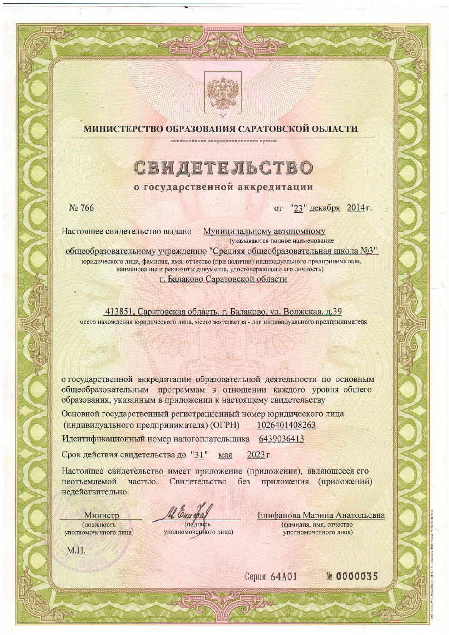



# МИНИСТЕРСТВО ОБРАЗОВАНИЯ САРАТОВСКОЙ ОБЛАСТИ

Наниенование аккредитационного органа

# СВИДЕТЕЛЬСТВО

### о государственной аккредитации

№ 766

от "23" декабря 2014 г.

Муниципальному автономному Настоящее свидетельство выдано (указываются полное наименование

общеобразовательному учреждению "Средняя общеобразовательная школа №3" юридического лица, фамилия, имя, отчество (при наличии) индивидуального предпринимателя, наименование и реквизиты документа, удостоверяющего его личность) г. Балаково Саратовской области

413851, Саратовская область, г. Балаково, ул. Волжская, д.39 место нахождения юридического лица, место жительства - для индивидуального предпринимателя

о государственной аккредитации образовательной деятельности по основным общеобразовательным программам в отношении каждого уровня общего образования, указанным в приложении к настоящему свидетельству

Основной государственный регистрационный номер юридического лица (индивидуального предпринимателя) (ОГРН) 1026401408263

Идентификационный номер налогоплательщика 6439036413

Срок действия свидетельства до "31" 2023 г. мая

Настоящее свидетельство имеет приложение (приложения), являющееся его Свидетельство без приложения (приложений) неотъемлемой частью. недействительно.

(полныеь

уполномочерного лица)

Епифанова Марина Анатольевна (фамилия, имя, отчество уполномоченного лица)

М.П.

Министр

(должность

уполномоченного лица)

Cepus 64A01

 $Ne$  0000035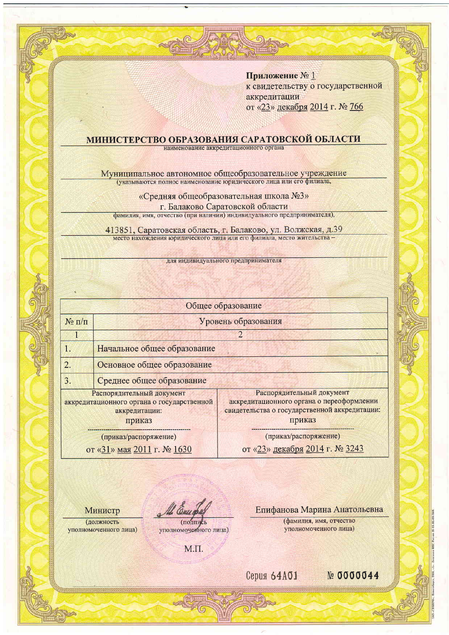## Приложение № 1 к свидетельству о государственной аккредитации от «23» декабря 2014 г. № 766

# **МИНИСТЕРСТВО ОБРАЗОВАНИЯ САРАТОВСКОЙ ОБЛАСТИ**

Муниципальное автономное общеобразовательное учреждение (указываются полное наименование юридического лица или его филиала,

«Средняя общеобразовательная школа №3»

г. Балаково Саратовской области

фамилия, имя, отчество (при наличии) индивидуального предпринимателя),

413851, Саратовская область, г. Балаково, ул. Волжская, д.39 место нахождения юридического лица или его филиала, место жительства-

для индивидуального предпринимателя

| Общее образование                                                                                  |                             |                                                                                                                                   |
|----------------------------------------------------------------------------------------------------|-----------------------------|-----------------------------------------------------------------------------------------------------------------------------------|
| $N_2$ п/п                                                                                          | Уровень образования         |                                                                                                                                   |
|                                                                                                    |                             | $\overline{2}$                                                                                                                    |
| 1.                                                                                                 | Начальное общее образование |                                                                                                                                   |
| $\overline{2}$ .                                                                                   | Основное общее образование  |                                                                                                                                   |
| 3.                                                                                                 | Среднее общее образование   |                                                                                                                                   |
| Распорядительный документ<br>аккредитационного органа о государственной<br>аккредитации:<br>приказ |                             | Распорядительный документ<br>аккредитационного органа о переоформлении<br>свидетельства о государственной аккредитации:<br>приказ |
| (приказ/распоряжение)                                                                              |                             | (приказ/распоряжение)                                                                                                             |
| $0T \times 31$ Mas 2011 r No 1630                                                                  |                             | от «23» декабря 2014 г. № 3243                                                                                                    |

Министр

(должность

уполномоченного лица)

(подпись

уполномоченного лица)

Епифанова Марина Анатольевна

(фамилия, имя, отчество уполномоченного лица)

М.П.

Cepus 64A01

 $N<sub>2</sub>$  0000044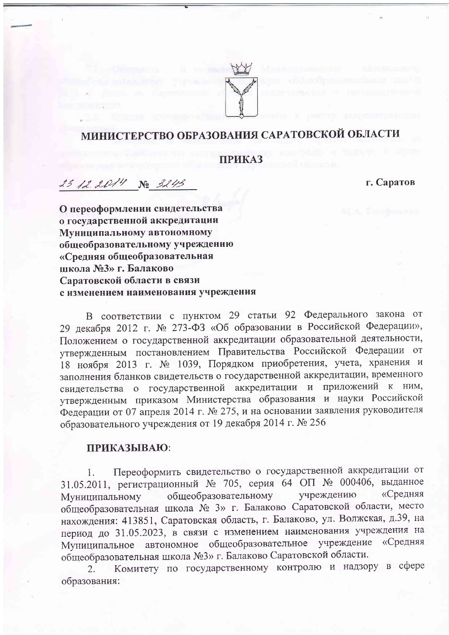

# МИНИСТЕРСТВО ОБРАЗОВАНИЯ САРАТОВСКОЙ ОБЛАСТИ

# **ПРИКАЗ**

23 12 2014 No 3243

г. Саратов

О переоформлении свидетельства о государственной аккредитации Муниципальному автономному обшеобразовательному учреждению «Средняя общеобразовательная школа №3» г. Балаково Саратовской области в связи с изменением наименования учреждения

В соответствии с пунктом 29 статьи 92 Федерального закона от 29 декабря 2012 г. № 273-ФЗ «Об образовании в Российской Федерации», Положением о государственной аккредитации образовательной деятельности, утвержденным постановлением Правительства Российской Федерации от 18 ноября 2013 г. № 1039, Порядком приобретения, учета, хранения и заполнения бланков свидетельств о государственной аккредитации, временного свидетельства о государственной аккредитации и приложений к ним, утвержденным приказом Министерства образования и науки Российской Федерации от 07 апреля 2014 г. № 275, и на основании заявления руководителя образовательного учреждения от 19 декабря 2014 г. № 256

### ПРИКАЗЫВАЮ:

Переоформить свидетельство о государственной аккредитации от 1. 31.05.2011, регистрационный № 705, серия 64 ОП № 000406, выданное учреждению «Средняя общеобразовательному Муниципальному общеобразовательная школа № 3» г. Балаково Саратовской области, место нахождения: 413851, Саратовская область, г. Балаково, ул. Волжская, д.39, на период до 31.05.2023, в связи с изменением наименования учреждения на Муниципальное автономное общеобразовательное учреждение «Средняя общеобразовательная школа №3» г. Балаково Саратовской области.

Комитету по государственному контролю и надзору в сфере  $2.$ образования: